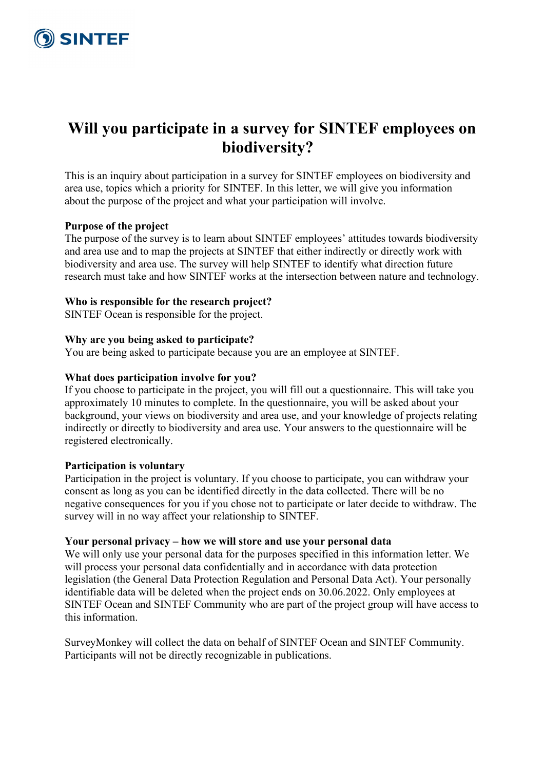

# **Will you participate in a survey for SINTEF employees on biodiversity?**

This is an inquiry about participation in a survey for SINTEF employees on biodiversity and area use, topics which a priority for SINTEF. In this letter, we will give you information about the purpose of the project and what your participation will involve.

#### **Purpose of the project**

The purpose of the survey is to learn about SINTEF employees' attitudes towards biodiversity and area use and to map the projects at SINTEF that either indirectly or directly work with biodiversity and area use. The survey will help SINTEF to identify what direction future research must take and how SINTEF works at the intersection between nature and technology.

#### **Who is responsible for the research project?**

SINTEF Ocean is responsible for the project.

# **Why are you being asked to participate?**

You are being asked to participate because you are an employee at SINTEF.

# **What does participation involve for you?**

If you choose to participate in the project, you will fill out a questionnaire. This will take you approximately 10 minutes to complete. In the questionnaire, you will be asked about your background, your views on biodiversity and area use, and your knowledge of projects relating indirectly or directly to biodiversity and area use. Your answers to the questionnaire will be registered electronically.

#### **Participation is voluntary**

Participation in the project is voluntary. If you choose to participate, you can withdraw your consent as long as you can be identified directly in the data collected. There will be no negative consequences for you if you chose not to participate or later decide to withdraw. The survey will in no way affect your relationship to SINTEF.

#### **Your personal privacy – how we will store and use your personal data**

We will only use your personal data for the purposes specified in this information letter. We will process your personal data confidentially and in accordance with data protection legislation (the General Data Protection Regulation and Personal Data Act). Your personally identifiable data will be deleted when the project ends on 30.06.2022. Only employees at SINTEF Ocean and SINTEF Community who are part of the project group will have access to this information.

SurveyMonkey will collect the data on behalf of SINTEF Ocean and SINTEF Community. Participants will not be directly recognizable in publications.